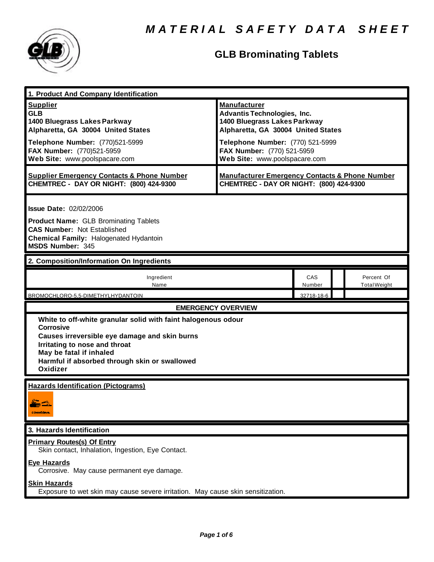

| 1. Product And Company Identification                                                                                                                                                                                                                                |                                                                                                                                                                                                                                    |               |                                   |  |
|----------------------------------------------------------------------------------------------------------------------------------------------------------------------------------------------------------------------------------------------------------------------|------------------------------------------------------------------------------------------------------------------------------------------------------------------------------------------------------------------------------------|---------------|-----------------------------------|--|
| <b>Supplier</b><br><b>GLB</b><br>1400 Bluegrass Lakes Parkway<br>Alpharetta, GA 30004 United States<br>Telephone Number: (770)521-5999<br>FAX Number: (770)521-5959<br>Web Site: www.poolspacare.com                                                                 | <b>Manufacturer</b><br><b>Advantis Technologies, Inc.</b><br>1400 Bluegrass Lakes Parkway<br>Alpharetta, GA 30004 United States<br>Telephone Number: (770) 521-5999<br>FAX Number: (770) 521-5959<br>Web Site: www.poolspacare.com |               |                                   |  |
| <b>Supplier Emergency Contacts &amp; Phone Number</b><br>CHEMTREC - DAY OR NIGHT: (800) 424-9300                                                                                                                                                                     | <b>Manufacturer Emergency Contacts &amp; Phone Number</b><br>CHEMTREC - DAY OR NIGHT: (800) 424-9300                                                                                                                               |               |                                   |  |
| <b>Issue Date: 02/02/2006</b><br><b>Product Name: GLB Brominating Tablets</b><br><b>CAS Number: Not Established</b><br>Chemical Family: Halogenated Hydantoin<br>MSDS Number: 345                                                                                    |                                                                                                                                                                                                                                    |               |                                   |  |
| 2. Composition/Information On Ingredients                                                                                                                                                                                                                            |                                                                                                                                                                                                                                    |               |                                   |  |
| Ingredient<br>Name                                                                                                                                                                                                                                                   |                                                                                                                                                                                                                                    | CAS<br>Number | Percent Of<br><b>Total Weight</b> |  |
| BROMOCHLORO-5,5-DIMETHYLHYDANTOIN                                                                                                                                                                                                                                    | <b>EMERGENCY OVERVIEW</b>                                                                                                                                                                                                          | 32718-18-6    |                                   |  |
| White to off-white granular solid with faint halogenous odour<br><b>Corrosive</b><br>Causes irreversible eye damage and skin burns<br>Irritating to nose and throat<br>May be fatal if inhaled<br>Harmful if absorbed through skin or swallowed<br>Oxidizer          |                                                                                                                                                                                                                                    |               |                                   |  |
| <b>Hazards Identification (Pictograms)</b><br><b>Francis</b><br>CONNOUNCE.                                                                                                                                                                                           |                                                                                                                                                                                                                                    |               |                                   |  |
| 3. Hazards Identification                                                                                                                                                                                                                                            |                                                                                                                                                                                                                                    |               |                                   |  |
| <b>Primary Routes(s) Of Entry</b><br>Skin contact, Inhalation, Ingestion, Eye Contact.<br><b>Eye Hazards</b><br>Corrosive. May cause permanent eye damage.<br><b>Skin Hazards</b><br>Exposure to wet skin may cause severe irritation. May cause skin sensitization. |                                                                                                                                                                                                                                    |               |                                   |  |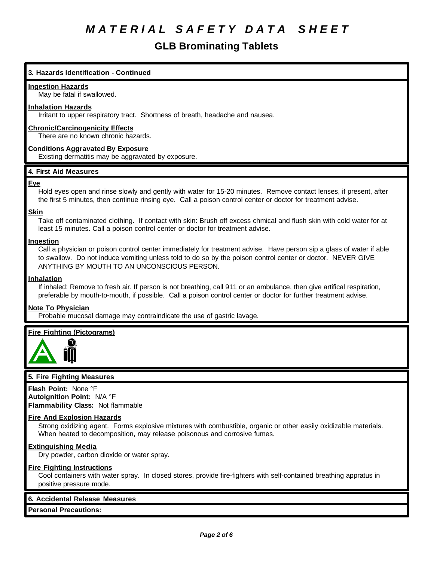# **GLB Brominating Tablets**

# **3. Hazards Identification - Continued**

### **Ingestion Hazards**

May be fatal if swallowed.

## **Inhalation Hazards**

Irritant to upper respiratory tract. Shortness of breath, headache and nausea.

# **Chronic/Carcinogenicity Effects**

There are no known chronic hazards.

### **Conditions Aggravated By Exposure**

Existing dermatitis may be aggravated by exposure.

# **4. First Aid Measures**

#### **Eye**

Hold eyes open and rinse slowly and gently with water for 15-20 minutes. Remove contact lenses, if present, after the first 5 minutes, then continue rinsing eye. Call a poison control center or doctor for treatment advise.

#### **Skin**

Take off contaminated clothing. If contact with skin: Brush off excess chmical and flush skin with cold water for at least 15 minutes. Call a poison control center or doctor for treatment advise.

### **Ingestion**

Call a physician or poison control center immediately for treatment advise. Have person sip a glass of water if able to swallow. Do not induce vomiting unless told to do so by the poison control center or doctor. NEVER GIVE ANYTHING BY MOUTH TO AN UNCONSCIOUS PERSON.

#### **Inhalation**

If inhaled: Remove to fresh air. If person is not breathing, call 911 or an ambulance, then give artifical respiration, preferable by mouth-to-mouth, if possible. Call a poison control center or doctor for further treatment advise.

### **Note To Physician**

Probable mucosal damage may contraindicate the use of gastric lavage.

### **Fire Fighting (Pictograms)**



### **5. Fire Fighting Measures**

**Flash Point:** None °F **Autoignition Point:** N/A °F **Flammability Class:** Not flammable

### **Fire And Explosion Hazards**

Strong oxidizing agent. Forms explosive mixtures with combustible, organic or other easily oxidizable materials. When heated to decomposition, may release poisonous and corrosive fumes.

### **Extinguishing Media**

Dry powder, carbon dioxide or water spray.

### **Fire Fighting Instructions**

Cool containers with water spray. In closed stores, provide fire-fighters with self-contained breathing appratus in positive pressure mode.

### **6. Accidental Release Measures**

**Personal Precautions:**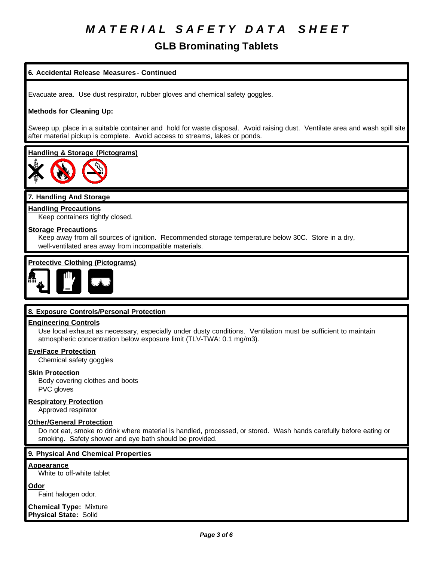# **GLB Brominating Tablets**

# **6. Accidental Release Measures - Continued**

Evacuate area. Use dust respirator, rubber gloves and chemical safety goggles.

# **Methods for Cleaning Up:**

Sweep up, place in a suitable container and hold for waste disposal. Avoid raising dust. Ventilate area and wash spill site after material pickup is complete. Avoid access to streams, lakes or ponds.

### **Handling & Storage (Pictograms)**



## **7. Handling And Storage**

**Handling Precautions** Keep containers tightly closed.

# **Storage Precautions**

Keep away from all sources of ignition. Recommended storage temperature below 30C. Store in a dry, well-ventilated area away from incompatible materials.

# **Protective Clothing (Pictograms)**



# **8. Exposure Controls/Personal Protection**

### **Engineering Controls**

Use local exhaust as necessary, especially under dusty conditions. Ventilation must be sufficient to maintain atmospheric concentration below exposure limit (TLV-TWA: 0.1 mg/m3).

### **Eye/Face Protection**

Chemical safety goggles

## **Skin Protection**

Body covering clothes and boots PVC gloves

### **Respiratory Protection**

Approved respirator

### **Other/General Protection**

Do not eat, smoke ro drink where material is handled, processed, or stored. Wash hands carefully before eating or smoking. Safety shower and eye bath should be provided.

# **9. Physical And Chemical Properties**

#### **Appearance**

White to off-white tablet

### **Odor**

Faint halogen odor.

**Chemical Type:** Mixture **Physical State:** Solid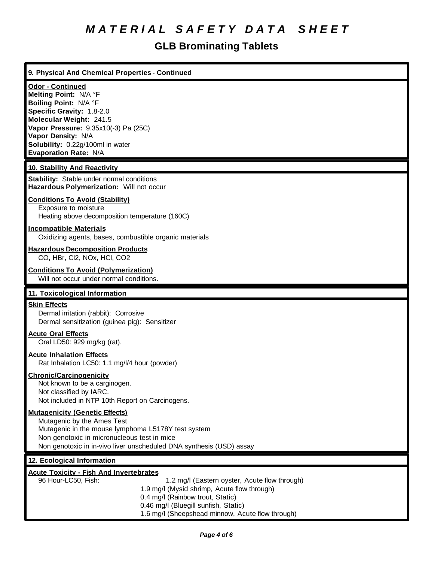| 9. Physical And Chemical Properties - Continued                                                                                                                                                                                                                                                       |
|-------------------------------------------------------------------------------------------------------------------------------------------------------------------------------------------------------------------------------------------------------------------------------------------------------|
| Odor - Continued<br>Melting Point: N/A °F<br>Boiling Point: N/A °F<br>Specific Gravity: 1.8-2.0<br>Molecular Weight: 241.5<br>Vapor Pressure: 9.35x10(-3) Pa (25C)<br>Vapor Density: N/A<br>Solubility: 0.22g/100ml in water<br>Evaporation Rate: N/A                                                 |
| 10. Stability And Reactivity                                                                                                                                                                                                                                                                          |
| <b>Stability:</b> Stable under normal conditions<br>Hazardous Polymerization: Will not occur                                                                                                                                                                                                          |
| <b>Conditions To Avoid (Stability)</b><br>Exposure to moisture<br>Heating above decomposition temperature (160C)                                                                                                                                                                                      |
| <b>Incompatible Materials</b><br>Oxidizing agents, bases, combustible organic materials                                                                                                                                                                                                               |
| <b>Hazardous Decomposition Products</b><br>CO, HBr, Cl2, NOx, HCl, CO2                                                                                                                                                                                                                                |
| <b>Conditions To Avoid (Polymerization)</b><br>Will not occur under normal conditions.                                                                                                                                                                                                                |
| 11. Toxicological Information                                                                                                                                                                                                                                                                         |
| <b>Skin Effects</b><br>Dermal irritation (rabbit): Corrosive<br>Dermal sensitization (guinea pig): Sensitizer                                                                                                                                                                                         |
| <b>Acute Oral Effects</b><br>Oral LD50: 929 mg/kg (rat).                                                                                                                                                                                                                                              |
| <b>Acute Inhalation Effects</b><br>Rat Inhalation LC50: 1.1 mg/l/4 hour (powder)                                                                                                                                                                                                                      |
| <b>Chronic/Carcinogenicity</b><br>Not known to be a carginogen.<br>Not classified by IARC.<br>Not included in NTP 10th Report on Carcinogens.                                                                                                                                                         |
| <b>Mutagenicity (Genetic Effects)</b><br>Mutagenic by the Ames Test<br>Mutagenic in the mouse lymphoma L5178Y test system<br>Non genotoxic in micronucleous test in mice<br>Non genotoxic in in-vivo liver unscheduled DNA synthesis (USD) assay                                                      |
| 12. Ecological Information                                                                                                                                                                                                                                                                            |
| <b>Acute Toxicity - Fish And Invertebrates</b><br>96 Hour-LC50, Fish:<br>1.2 mg/l (Eastern oyster, Acute flow through)<br>1.9 mg/l (Mysid shrimp, Acute flow through)<br>0.4 mg/l (Rainbow trout, Static)<br>0.46 mg/l (Bluegill sunfish, Static)<br>1.6 mg/l (Sheepshead minnow, Acute flow through) |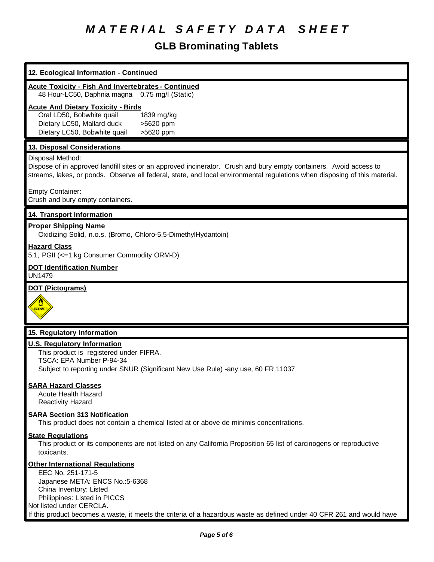| 12. Ecological Information - Continued                                                                                                                                                                                                                                                                         |
|----------------------------------------------------------------------------------------------------------------------------------------------------------------------------------------------------------------------------------------------------------------------------------------------------------------|
| <b>Acute Toxicity - Fish And Invertebrates - Continued</b><br>48 Hour-LC50, Daphnia magna<br>0.75 mg/l (Static)                                                                                                                                                                                                |
| <b>Acute And Dietary Toxicity - Birds</b><br>Oral LD50, Bobwhite quail<br>1839 mg/kg<br>Dietary LC50, Mallard duck<br>>5620 ppm<br>Dietary LC50, Bobwhite quail<br>>5620 ppm                                                                                                                                   |
| 13. Disposal Considerations                                                                                                                                                                                                                                                                                    |
| Disposal Method:<br>Dispose of in approved landfill sites or an approved incinerator. Crush and bury empty containers. Avoid access to<br>streams, lakes, or ponds. Observe all federal, state, and local environmental regulations when disposing of this material.                                           |
| <b>Empty Container:</b><br>Crush and bury empty containers.                                                                                                                                                                                                                                                    |
| 14. Transport Information                                                                                                                                                                                                                                                                                      |
| <b>Proper Shipping Name</b><br>Oxidizing Solid, n.o.s. (Bromo, Chloro-5,5-DimethylHydantoin)                                                                                                                                                                                                                   |
| <b>Hazard Class</b><br>5.1, PGII (<=1 kg Consumer Commodity ORM-D)                                                                                                                                                                                                                                             |
| <b>DOT Identification Number</b><br><b>UN1479</b>                                                                                                                                                                                                                                                              |
| <b>DOT (Pictograms)</b><br><u>UXDIZER</u>                                                                                                                                                                                                                                                                      |
| 15. Regulatory Information                                                                                                                                                                                                                                                                                     |
| <b>U.S. Regulatory Information</b><br>This product is registered under FIFRA.<br>TSCA: EPA Number P-94-34<br>Subject to reporting under SNUR (Significant New Use Rule) -any use, 60 FR 11037                                                                                                                  |
| <b>SARA Hazard Classes</b><br><b>Acute Health Hazard</b><br><b>Reactivity Hazard</b>                                                                                                                                                                                                                           |
| <b>SARA Section 313 Notification</b><br>This product does not contain a chemical listed at or above de minimis concentrations.                                                                                                                                                                                 |
| <b>State Regulations</b><br>This product or its components are not listed on any California Proposition 65 list of carcinogens or reproductive<br>toxicants.                                                                                                                                                   |
| <b>Other International Regulations</b><br>EEC No. 251-171-5<br>Japanese META: ENCS No.:5-6368<br>China Inventory: Listed<br>Philippines: Listed in PICCS<br>Not listed under CERCLA.<br>If this product becomes a waste, it meets the criteria of a hazardous waste as defined under 40 CFR 261 and would have |